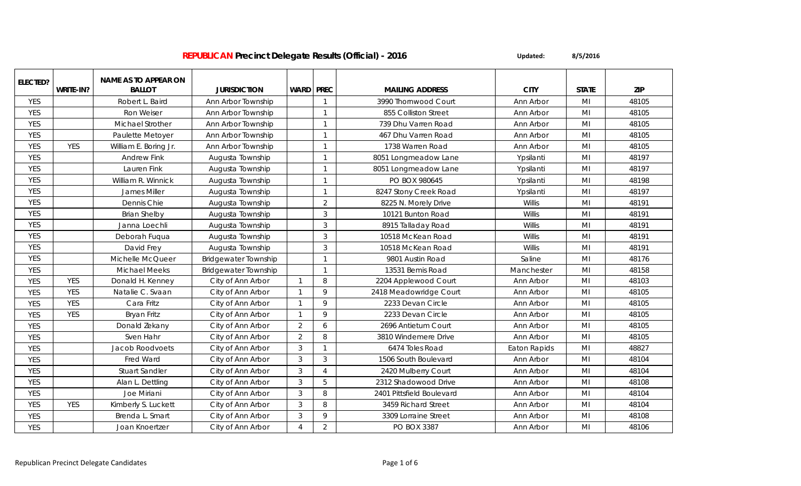| <b>ELECTED?</b> |            | <b>NAME AS TO APPEAR ON</b> |                             |                |                |                           |                     |                |            |
|-----------------|------------|-----------------------------|-----------------------------|----------------|----------------|---------------------------|---------------------|----------------|------------|
|                 | WRITE-IN?  | <b>BALLOT</b>               | <b>JURISDICTION</b>         | <b>WARD</b>    | <b>PREC</b>    | <b>MAILING ADDRESS</b>    | <b>CITY</b>         | <b>STATE</b>   | <b>ZIP</b> |
| <b>YES</b>      |            | Robert L. Baird             | Ann Arbor Township          |                | $\mathbf{1}$   | 3990 Thornwood Court      | Ann Arbor           | MI             | 48105      |
| <b>YES</b>      |            | Ron Weiser                  | Ann Arbor Township          |                | $\mathbf{1}$   | 855 Colliston Street      | Ann Arbor           | MI             | 48105      |
| <b>YES</b>      |            | <b>Michael Strother</b>     | Ann Arbor Township          |                | $\mathbf{1}$   | 739 Dhu Varren Road       | Ann Arbor           | MI             | 48105      |
| <b>YES</b>      |            | Paulette Metoyer            | Ann Arbor Township          |                | $\mathbf{1}$   | 467 Dhu Varren Road       | Ann Arbor           | MI             | 48105      |
| <b>YES</b>      | <b>YES</b> | William E. Boring Jr.       | Ann Arbor Township          |                | $\mathbf{1}$   | 1738 Warren Road          | Ann Arbor           | M <sub>l</sub> | 48105      |
| <b>YES</b>      |            | <b>Andrew Fink</b>          | Augusta Township            |                | $\mathbf{1}$   | 8051 Longmeadow Lane      | Ypsilanti           | MI             | 48197      |
| <b>YES</b>      |            | Lauren Fink                 | Augusta Township            |                | $\mathbf{1}$   | 8051 Longmeadow Lane      | Ypsilanti           | M <sub>l</sub> | 48197      |
| <b>YES</b>      |            | William R. Winnick          | Augusta Township            |                | $\mathbf{1}$   | PO BOX 980645             | Ypsilanti           | M <sub>l</sub> | 48198      |
| <b>YES</b>      |            | James Miller                | Augusta Township            |                | $\mathbf{1}$   | 8247 Stony Creek Road     | Ypsilanti           | MI             | 48197      |
| <b>YES</b>      |            | Dennis Chie                 | Augusta Township            |                | $\overline{2}$ | 8225 N. Morely Drive      | Willis              | MI             | 48191      |
| <b>YES</b>      |            | <b>Brian Shelby</b>         | Augusta Township            |                | 3              | 10121 Bunton Road         | Willis              | MI             | 48191      |
| <b>YES</b>      |            | Janna Loechli               | Augusta Township            |                | $\mathfrak{Z}$ | 8915 Talladay Road        | Willis              | MI             | 48191      |
| <b>YES</b>      |            | Deborah Fuqua               | Augusta Township            |                | 3              | 10518 McKean Road         | Willis              | MI             | 48191      |
| <b>YES</b>      |            | David Frey                  | Augusta Township            |                | 3              | 10518 McKean Road         | Willis              | MI             | 48191      |
| <b>YES</b>      |            | Michelle McQueer            | <b>Bridgewater Township</b> |                | $\mathbf{1}$   | 9801 Austin Road          | Saline              | M <sub>l</sub> | 48176      |
| <b>YES</b>      |            | <b>Michael Meeks</b>        | <b>Bridgewater Township</b> |                | $\mathbf{1}$   | 13531 Bemis Road          | Manchester          | M <sub>l</sub> | 48158      |
| <b>YES</b>      | <b>YES</b> | Donald H. Kenney            | City of Ann Arbor           | $\mathbf{1}$   | $\, 8$         | 2204 Applewood Court      | Ann Arbor           | MI             | 48103      |
| <b>YES</b>      | <b>YES</b> | Natalie C. Svaan            | City of Ann Arbor           | $\mathbf{1}$   | $\mathsf Q$    | 2418 Meadowridge Court    | Ann Arbor           | MI             | 48105      |
| <b>YES</b>      | <b>YES</b> | Cara Fritz                  | City of Ann Arbor           | -1             | $\mathsf{Q}$   | 2233 Devan Circle         | Ann Arbor           | MI             | 48105      |
| <b>YES</b>      | <b>YES</b> | Bryan Fritz                 | City of Ann Arbor           | $\mathbf{1}$   | $\mathsf{Q}$   | 2233 Devan Circle         | Ann Arbor           | MI             | 48105      |
| <b>YES</b>      |            | Donald Zekany               | City of Ann Arbor           | 2              | 6              | 2696 Antietum Court       | Ann Arbor           | MI             | 48105      |
| <b>YES</b>      |            | Sven Hahr                   | City of Ann Arbor           | $\overline{2}$ | 8              | 3810 Windemere Drive      | Ann Arbor           | MI             | 48105      |
| <b>YES</b>      |            | Jacob Roodvoets             | City of Ann Arbor           | 3              | $\mathbf{1}$   | 6474 Toles Road           | <b>Eaton Rapids</b> | MI             | 48827      |
| <b>YES</b>      |            | Fred Ward                   | City of Ann Arbor           | 3              | $\mathfrak{Z}$ | 1506 South Boulevard      | Ann Arbor           | MI             | 48104      |
| <b>YES</b>      |            | <b>Stuart Sandler</b>       | City of Ann Arbor           | 3              | $\overline{4}$ | 2420 Mulberry Court       | Ann Arbor           | MI             | 48104      |
| <b>YES</b>      |            | Alan L. Dettling            | City of Ann Arbor           | 3              | 5              | 2312 Shadowood Drive      | Ann Arbor           | MI             | 48108      |
| <b>YES</b>      |            | Joe Miriani                 | City of Ann Arbor           | 3              | 8              | 2401 Pittsfield Boulevard | Ann Arbor           | MI             | 48104      |
| <b>YES</b>      | <b>YES</b> | Kimberly S. Luckett         | City of Ann Arbor           | 3              | 8              | 3459 Richard Street       | Ann Arbor           | MI             | 48104      |
| <b>YES</b>      |            | Brenda L. Smart             | City of Ann Arbor           | 3              | 9              | 3309 Lorraine Street      | Ann Arbor           | MI             | 48108      |
| <b>YES</b>      |            | Joan Knoertzer              | City of Ann Arbor           | $\overline{4}$ | $\overline{2}$ | <b>PO BOX 3387</b>        | Ann Arbor           | MI             | 48106      |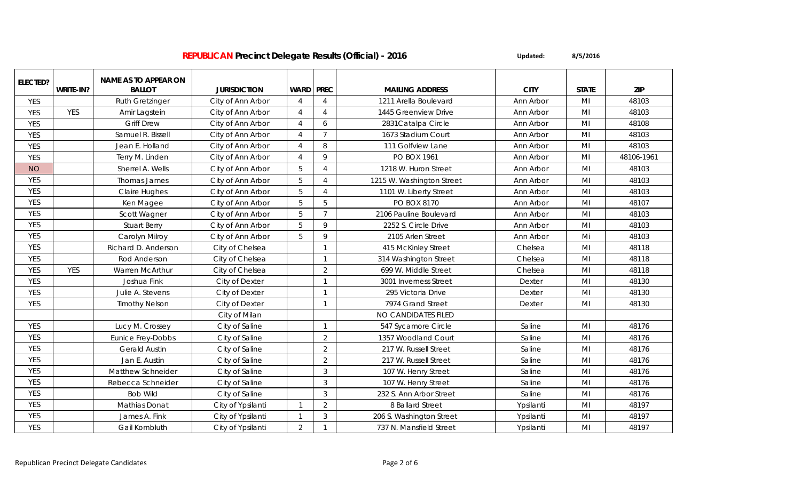| ELECTED?   |            | <b>NAME AS TO APPEAR ON</b> |                     |                |                |                           |             |                |            |
|------------|------------|-----------------------------|---------------------|----------------|----------------|---------------------------|-------------|----------------|------------|
|            | WRITE-IN?  | <b>BALLOT</b>               | <b>JURISDICTION</b> | <b>WARD</b>    | <b>PREC</b>    | <b>MAILING ADDRESS</b>    | <b>CITY</b> | <b>STATE</b>   | <b>ZIP</b> |
| <b>YES</b> |            | <b>Ruth Gretzinger</b>      | City of Ann Arbor   | $\overline{4}$ | $\overline{4}$ | 1211 Arella Boulevard     | Ann Arbor   | M <sub>l</sub> | 48103      |
| <b>YES</b> | <b>YES</b> | Amir Lagstein               | City of Ann Arbor   | $\Delta$       | $\overline{4}$ | 1445 Greenview Drive      | Ann Arbor   | M <sub>l</sub> | 48103      |
| <b>YES</b> |            | <b>Griff Drew</b>           | City of Ann Arbor   | $\Delta$       | 6              | 2831 Catalpa Circle       | Ann Arbor   | MI             | 48108      |
| <b>YES</b> |            | Samuel R. Bissell           | City of Ann Arbor   | $\Lambda$      | $\overline{7}$ | 1673 Stadium Court        | Ann Arbor   | MI             | 48103      |
| <b>YES</b> |            | Jean E. Holland             | City of Ann Arbor   | $\Lambda$      | 8              | 111 Golfview Lane         | Ann Arbor   | MI             | 48103      |
| <b>YES</b> |            | Terry M. Linden             | City of Ann Arbor   | $\Delta$       | 9              | <b>PO BOX 1961</b>        | Ann Arbor   | MI             | 48106-1961 |
| <b>NO</b>  |            | Sherrel A. Wells            | City of Ann Arbor   | 5              | $\overline{4}$ | 1218 W. Huron Street      | Ann Arbor   | MI             | 48103      |
| <b>YES</b> |            | Thomas James                | City of Ann Arbor   | 5              | $\overline{A}$ | 1215 W. Washington Street | Ann Arbor   | MI             | 48103      |
| <b>YES</b> |            | <b>Claire Hughes</b>        | City of Ann Arbor   | 5              | $\overline{4}$ | 1101 W. Liberty Street    | Ann Arbor   | M <sub>l</sub> | 48103      |
| <b>YES</b> |            | Ken Magee                   | City of Ann Arbor   | 5              | 5              | PO BOX 8170               | Ann Arbor   | M <sub>l</sub> | 48107      |
| <b>YES</b> |            | Scott Wagner                | City of Ann Arbor   | 5              | $\overline{7}$ | 2106 Pauline Boulevard    | Ann Arbor   | M <sub>l</sub> | 48103      |
| <b>YES</b> |            | <b>Stuart Berry</b>         | City of Ann Arbor   | 5              | 9              | 2252 S. Circle Drive      | Ann Arbor   | MI             | 48103      |
| <b>YES</b> |            | Carolyn Milroy              | City of Ann Arbor   | $\overline{5}$ | 9              | 2105 Arlen Street         | Ann Arbor   | Mi             | 48103      |
| <b>YES</b> |            | Richard D. Anderson         | City of Chelsea     |                |                | 415 McKinley Street       | Chelsea     | M <sub>l</sub> | 48118      |
| <b>YES</b> |            | Rod Anderson                | City of Chelsea     |                |                | 314 Washington Street     | Chelsea     | M <sub>l</sub> | 48118      |
| <b>YES</b> | <b>YES</b> | Warren McArthur             | City of Chelsea     |                | $\overline{2}$ | 699 W. Middle Street      | Chelsea     | MI             | 48118      |
| <b>YES</b> |            | Joshua Fink                 | City of Dexter      |                |                | 3001 Inverness Street     | Dexter      | M <sub>l</sub> | 48130      |
| <b>YES</b> |            | Julie A. Stevens            | City of Dexter      |                |                | 295 Victoria Drive        | Dexter      | MI             | 48130      |
| <b>YES</b> |            | <b>Timothy Nelson</b>       | City of Dexter      |                |                | 7974 Grand Street         | Dexter      | MI             | 48130      |
|            |            |                             | City of Milan       |                |                | NO CANDIDATES FILED       |             |                |            |
| <b>YES</b> |            | Lucy M. Crossey             | City of Saline      |                |                | 547 Sycamore Circle       | Saline      | MI             | 48176      |
| <b>YES</b> |            | Eunice Frey-Dobbs           | City of Saline      |                | $\overline{2}$ | 1357 Woodland Court       | Saline      | M <sub>l</sub> | 48176      |
| <b>YES</b> |            | <b>Gerald Austin</b>        | City of Saline      |                | 2              | 217 W. Russell Street     | Saline      | M <sub>l</sub> | 48176      |
| <b>YES</b> |            | Jan E. Austin               | City of Saline      |                | $\overline{2}$ | 217 W. Russell Street     | Saline      | MI             | 48176      |
| <b>YES</b> |            | Matthew Schneider           | City of Saline      |                | 3              | 107 W. Henry Street       | Saline      | MI             | 48176      |
| <b>YES</b> |            | Rebecca Schneider           | City of Saline      |                | $\mathfrak{Z}$ | 107 W. Henry Street       | Saline      | M <sub>l</sub> | 48176      |
| <b>YES</b> |            | <b>Bob Wild</b>             | City of Saline      |                | $\mathbf{3}$   | 232 S. Ann Arbor Street   | Saline      | MI             | 48176      |
| <b>YES</b> |            | Mathias Donat               | City of Ypsilanti   | $\mathbf{1}$   | $\overline{2}$ | 8 Ballard Street          | Ypsilanti   | M <sub>l</sub> | 48197      |
| <b>YES</b> |            | James A. Fink               | City of Ypsilanti   | $\mathbf{1}$   | 3              | 206 S. Washington Street  | Ypsilanti   | MI             | 48197      |
| <b>YES</b> |            | Gail Kornbluth              | City of Ypsilanti   | $\overline{2}$ |                | 737 N. Mansfield Street   | Ypsilanti   | M <sub>l</sub> | 48197      |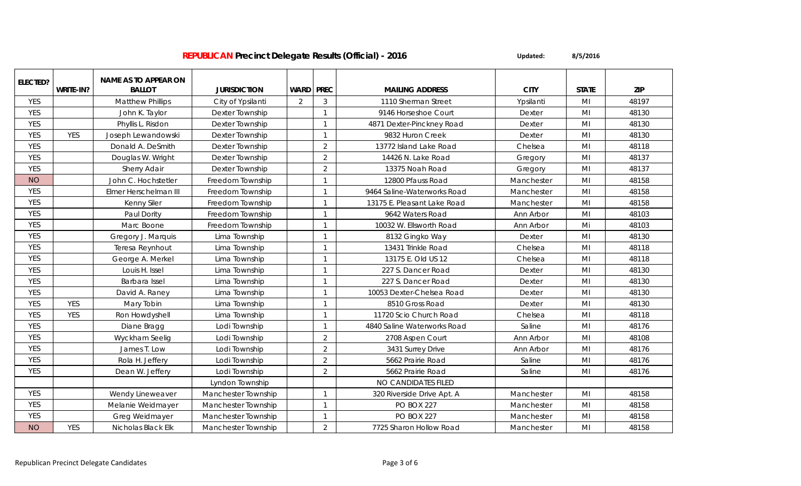| ELECTED?   |            | <b>NAME AS TO APPEAR ON</b> |                     |             |                |                             |             |                |            |
|------------|------------|-----------------------------|---------------------|-------------|----------------|-----------------------------|-------------|----------------|------------|
|            | WRITE-IN?  | <b>BALLOT</b>               | <b>JURISDICTION</b> | <b>WARD</b> | <b>PREC</b>    | <b>MAILING ADDRESS</b>      | <b>CITY</b> | <b>STATE</b>   | <b>ZIP</b> |
| <b>YES</b> |            | <b>Matthew Phillips</b>     | City of Ypsilanti   | 2           | 3              | 1110 Sherman Street         | Ypsilanti   | MI             | 48197      |
| <b>YES</b> |            | John K. Taylor              | Dexter Township     |             | $\mathbf{1}$   | 9146 Horseshoe Court        | Dexter      | M <sub>l</sub> | 48130      |
| <b>YES</b> |            | Phyllis L. Risdon           | Dexter Township     |             | $\overline{1}$ | 4871 Dexter-Pinckney Road   | Dexter      | MI             | 48130      |
| <b>YES</b> | <b>YES</b> | Joseph Lewandowski          | Dexter Township     |             | $\mathbf{1}$   | 9832 Huron Creek            | Dexter      | M <sub>l</sub> | 48130      |
| <b>YES</b> |            | Donald A. DeSmith           | Dexter Township     |             | $\overline{2}$ | 13772 Island Lake Road      | Chelsea     | M <sub>l</sub> | 48118      |
| <b>YES</b> |            | Douglas W. Wright           | Dexter Township     |             | $\overline{2}$ | 14426 N. Lake Road          | Gregory     | MI             | 48137      |
| <b>YES</b> |            | <b>Sherry Adair</b>         | Dexter Township     |             | $\overline{2}$ | 13375 Noah Road             | Gregory     | M <sub>l</sub> | 48137      |
| <b>NO</b>  |            | John C. Hochstetler         | Freedom Township    |             | $\mathbf{1}$   | 12800 Pfauss Road           | Manchester  | M <sub>l</sub> | 48158      |
| <b>YES</b> |            | Elmer Herschelman III       | Freedom Township    |             | $\mathbf{1}$   | 9464 Saline-Waterworks Road | Manchester  | M <sub>l</sub> | 48158      |
| <b>YES</b> |            | Kenny Siler                 | Freedom Township    |             | $\overline{1}$ | 13175 E. Pleasant Lake Road | Manchester  | MI             | 48158      |
| <b>YES</b> |            | Paul Dority                 | Freedom Township    |             | $\mathbf{1}$   | 9642 Waters Road            | Ann Arbor   | MI             | 48103      |
| <b>YES</b> |            | Marc Boone                  | Freedom Township    |             | $\overline{1}$ | 10032 W. Ellsworth Road     | Ann Arbor   | Mi             | 48103      |
| <b>YES</b> |            | Gregory J. Marquis          | Lima Township       |             | $\mathbf{1}$   | 8132 Gingko Way             | Dexter      | MI             | 48130      |
| <b>YES</b> |            | Teresa Reynhout             | Lima Township       |             | -1             | 13431 Trinkle Road          | Chelsea     | M <sub>l</sub> | 48118      |
| <b>YES</b> |            | George A. Merkel            | Lima Township       |             | $\overline{1}$ | 13175 E. Old US 12          | Chelsea     | M <sub>l</sub> | 48118      |
| <b>YES</b> |            | Louis H. Issel              | Lima Township       |             | $\mathbf{1}$   | 227 S. Dancer Road          | Dexter      | M <sub>l</sub> | 48130      |
| <b>YES</b> |            | Barbara Issel               | Lima Township       |             | $\overline{1}$ | 227 S. Dancer Road          | Dexter      | M <sub>l</sub> | 48130      |
| <b>YES</b> |            | David A. Raney              | Lima Township       |             | $\overline{1}$ | 10053 Dexter-Chelsea Road   | Dexter      | M <sub>l</sub> | 48130      |
| <b>YES</b> | <b>YES</b> | Mary Tobin                  | Lima Township       |             | $\mathbf{1}$   | 8510 Gross Road             | Dexter      | MI             | 48130      |
| <b>YES</b> | <b>YES</b> | Ron Howdyshell              | Lima Township       |             | $\overline{1}$ | 11720 Scio Church Road      | Chelsea     | M <sub>l</sub> | 48118      |
| <b>YES</b> |            | Diane Bragg                 | Lodi Township       |             | $\mathbf{1}$   | 4840 Saline Waterworks Road | Saline      | MI             | 48176      |
| <b>YES</b> |            | Wyckham Seelig              | Lodi Township       |             | 2              | 2708 Aspen Court            | Ann Arbor   | MI             | 48108      |
| <b>YES</b> |            | James T. Low                | Lodi Township       |             | 2              | 3431 Surrey Drive           | Ann Arbor   | MI             | 48176      |
| <b>YES</b> |            | Rola H. Jeffery             | Lodi Township       |             | $\overline{2}$ | 5662 Prairie Road           | Saline      | MI             | 48176      |
| <b>YES</b> |            | Dean W. Jeffery             | Lodi Township       |             | $\overline{2}$ | 5662 Prairie Road           | Saline      | M <sub>l</sub> | 48176      |
|            |            |                             | Lyndon Township     |             |                | NO CANDIDATES FILED         |             |                |            |
| <b>YES</b> |            | Wendy Lineweaver            | Manchester Township |             | $\overline{1}$ | 320 Riverside Drive Apt. A  | Manchester  | M <sub>l</sub> | 48158      |
| <b>YES</b> |            | Melanie Weidmayer           | Manchester Township |             | $\mathbf{1}$   | <b>PO BOX 227</b>           | Manchester  | MI             | 48158      |
| <b>YES</b> |            | Greg Weidmayer              | Manchester Township |             | $\mathbf{1}$   | <b>PO BOX 227</b>           | Manchester  | MI             | 48158      |
| <b>NO</b>  | <b>YES</b> | Nicholas Black Elk          | Manchester Township |             | $\overline{2}$ | 7725 Sharon Hollow Road     | Manchester  | M <sub>l</sub> | 48158      |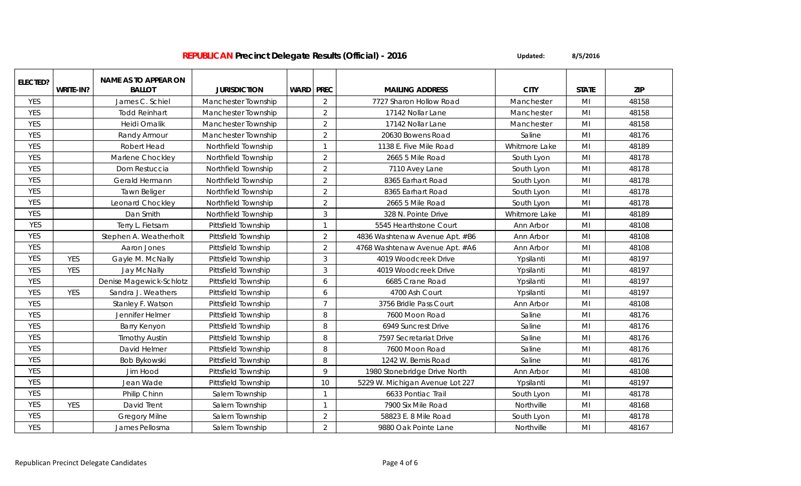| ELECTED?   |            | <b>NAME AS TO APPEAR ON</b> |                     |             |                |                                 |               |                |            |
|------------|------------|-----------------------------|---------------------|-------------|----------------|---------------------------------|---------------|----------------|------------|
|            | WRITE-IN?  | <b>BALLOT</b>               | <b>JURISDICTION</b> | <b>WARD</b> | <b>PREC</b>    | <b>MAILING ADDRESS</b>          | <b>CITY</b>   | <b>STATE</b>   | <b>ZIP</b> |
| <b>YES</b> |            | James C. Schiel             | Manchester Township |             | 2              | 7727 Sharon Hollow Road         | Manchester    | MI             | 48158      |
| <b>YES</b> |            | <b>Todd Reinhart</b>        | Manchester Township |             | $\overline{2}$ | 17142 Nollar Lane               | Manchester    | M <sub>l</sub> | 48158      |
| <b>YES</b> |            | Heidi Ornalik               | Manchester Township |             | $\overline{2}$ | 17142 Nollar Lane               | Manchester    | MI             | 48158      |
| <b>YES</b> |            | Randy Armour                | Manchester Township |             | $\overline{2}$ | 20630 Bowens Road               | Saline        | M <sub>l</sub> | 48176      |
| <b>YES</b> |            | Robert Head                 | Northfield Township |             |                | 1138 E. Five Mile Road          | Whitmore Lake | MI             | 48189      |
| <b>YES</b> |            | Marlene Chockley            | Northfield Township |             | $\overline{2}$ | 2665 5 Mile Road                | South Lyon    | MI             | 48178      |
| <b>YES</b> |            | Dom Restuccia               | Northfield Township |             | $\overline{2}$ | 7110 Avey Lane                  | South Lyon    | M <sub>l</sub> | 48178      |
| <b>YES</b> |            | Gerald Hermann              | Northfield Township |             | $\overline{2}$ | 8365 Earhart Road               | South Lyon    | MI             | 48178      |
| <b>YES</b> |            | Tawn Beliger                | Northfield Township |             | 2              | 8365 Earhart Road               | South Lyon    | M <sub>l</sub> | 48178      |
| <b>YES</b> |            | Leonard Chockley            | Northfield Township |             | 2              | 2665 5 Mile Road                | South Lyon    | M <sub>l</sub> | 48178      |
| <b>YES</b> |            | Dan Smith                   | Northfield Township |             | 3              | 328 N. Pointe Drive             | Whitmore Lake | MI             | 48189      |
| YES        |            | Terry L. Fietsam            | Pittsfield Township |             |                | 5545 Hearthstone Court          | Ann Arbor     | M <sub>l</sub> | 48108      |
| <b>YES</b> |            | Stephen A. Weatherholt      | Pittsfield Township |             | $\overline{2}$ | 4836 Washtenaw Avenue Apt. #B6  | Ann Arbor     | M <sub>l</sub> | 48108      |
| <b>YES</b> |            | Aaron Jones                 | Pittsfield Township |             | 2              | 4768 Washtenaw Avenue Apt. #A6  | Ann Arbor     | M <sub>l</sub> | 48108      |
| <b>YES</b> | <b>YES</b> | Gayle M. McNally            | Pittsfield Township |             | $\mathbf{3}$   | 4019 Woodcreek Drive            | Ypsilanti     | MI             | 48197      |
| <b>YES</b> | <b>YES</b> | Jay McNally                 | Pittsfield Township |             | 3              | 4019 Woodcreek Drive            | Ypsilanti     | MI             | 48197      |
| <b>YES</b> |            | Denise Magewick-Schlotz     | Pittsfield Township |             | 6              | 6685 Crane Road                 | Ypsilanti     | M <sub>l</sub> | 48197      |
| <b>YES</b> | YES        | Sandra J. Weathers          | Pittsfield Township |             | 6              | 4700 Ash Court                  | Ypsilanti     | M <sub>l</sub> | 48197      |
| <b>YES</b> |            | Stanley F. Watson           | Pittsfield Township |             | $\overline{7}$ | 3756 Bridle Pass Court          | Ann Arbor     | MI             | 48108      |
| <b>YES</b> |            | Jennifer Helmer             | Pittsfield Township |             | 8              | 7600 Moon Road                  | Saline        | MI             | 48176      |
| <b>YES</b> |            | <b>Barry Kenyon</b>         | Pittsfield Township |             | 8              | 6949 Suncrest Drive             | Saline        | MI             | 48176      |
| <b>YES</b> |            | <b>Timothy Austin</b>       | Pittsfield Township |             | 8              | 7597 Secretariat Drive          | Saline        | M <sub>l</sub> | 48176      |
| <b>YES</b> |            | David Helmer                | Pittsfield Township |             | 8              | 7600 Moon Road                  | Saline        | M <sub>l</sub> | 48176      |
| <b>YES</b> |            | Bob Bykowski                | Pittsfield Township |             | 8              | 1242 W. Bemis Road              | Saline        | MI             | 48176      |
| <b>YES</b> |            | Jim Hood                    | Pittsfield Township |             | 9              | 1980 Stonebridge Drive North    | Ann Arbor     | MI             | 48108      |
| <b>YES</b> |            | Jean Wade                   | Pittsfield Township |             | 10             | 5229 W. Michigan Avenue Lot 227 | Ypsilanti     | MI             | 48197      |
| <b>YES</b> |            | Philip Chinn                | Salem Township      |             |                | 6633 Pontiac Trail              | South Lyon    | M <sub>l</sub> | 48178      |
| <b>YES</b> | <b>YES</b> | David Trent                 | Salem Township      |             |                | 7900 Six Mile Road              | Northville    | M <sub>l</sub> | 48168      |
| <b>YES</b> |            | <b>Gregory Milne</b>        | Salem Township      |             | $\overline{2}$ | 58823 E. 8 Mile Road            | South Lyon    | MI             | 48178      |
| <b>YES</b> |            | James Pellosma              | Salem Township      |             | $\overline{2}$ | 9880 Oak Pointe Lane            | Northville    | M <sub>l</sub> | 48167      |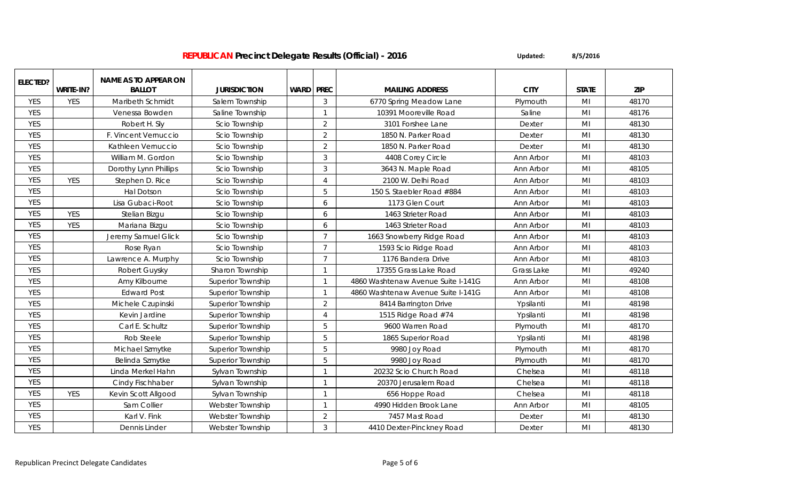| <b>ELECTED?</b> |            | <b>NAME AS TO APPEAR ON</b> |                          |             |                |                                    |             |                |            |
|-----------------|------------|-----------------------------|--------------------------|-------------|----------------|------------------------------------|-------------|----------------|------------|
|                 | WRITE-IN?  | <b>BALLOT</b>               | <b>JURISDICTION</b>      | <b>WARD</b> | <b>PREC</b>    | <b>MAILING ADDRESS</b>             | <b>CITY</b> | <b>STATE</b>   | <b>ZIP</b> |
| <b>YES</b>      | <b>YES</b> | Maribeth Schmidt            | Salem Township           |             | 3              | 6770 Spring Meadow Lane            | Plymouth    | MI             | 48170      |
| <b>YES</b>      |            | Venessa Bowden              | Saline Township          |             | $\mathbf{1}$   | 10391 Mooreville Road              | Saline      | M <sub>l</sub> | 48176      |
| <b>YES</b>      |            | Robert H. Sly               | Scio Township            |             | 2              | 3101 Forshee Lane                  | Dexter      | MI             | 48130      |
| <b>YES</b>      |            | F. Vincent Vernuccio        | Scio Township            |             | $\overline{2}$ | 1850 N. Parker Road                | Dexter      | M <sub>l</sub> | 48130      |
| <b>YES</b>      |            | Kathleen Vernuccio          | Scio Township            |             | $\overline{2}$ | 1850 N. Parker Road                | Dexter      | M <sub>l</sub> | 48130      |
| <b>YES</b>      |            | William M. Gordon           | Scio Township            |             | 3              | 4408 Corey Circle                  | Ann Arbor   | MI             | 48103      |
| <b>YES</b>      |            | Dorothy Lynn Phillips       | Scio Township            |             | 3              | 3643 N. Maple Road                 | Ann Arbor   | MI             | 48105      |
| <b>YES</b>      | <b>YES</b> | Stephen D. Rice             | Scio Township            |             | $\overline{A}$ | 2100 W. Delhi Road                 | Ann Arbor   | M <sub>l</sub> | 48103      |
| <b>YES</b>      |            | <b>Hal Dotson</b>           | Scio Township            |             | 5              | 150 S. Staebler Road #884          | Ann Arbor   | M <sub>l</sub> | 48103      |
| <b>YES</b>      |            | Lisa Gubaci-Root            | Scio Township            |             | 6              | 1173 Glen Court                    | Ann Arbor   | M <sub>l</sub> | 48103      |
| <b>YES</b>      | <b>YES</b> | Stelian Bizgu               | Scio Township            |             | 6              | 1463 Strieter Road                 | Ann Arbor   | MI             | 48103      |
| <b>YES</b>      | <b>YES</b> | Mariana Bizgu               | Scio Township            |             | 6              | 1463 Strieter Road                 | Ann Arbor   | M <sub>l</sub> | 48103      |
| <b>YES</b>      |            | Jeremy Samuel Glick         | Scio Township            |             | $\overline{7}$ | 1663 Snowberry Ridge Road          | Ann Arbor   | MI             | 48103      |
| <b>YES</b>      |            | Rose Ryan                   | Scio Township            |             | $\overline{7}$ | 1593 Scio Ridge Road               | Ann Arbor   | M <sub>l</sub> | 48103      |
| <b>YES</b>      |            | Lawrence A. Murphy          | Scio Township            |             | $\overline{7}$ | 1176 Bandera Drive                 | Ann Arbor   | MI             | 48103      |
| <b>YES</b>      |            | Robert Guysky               | Sharon Township          |             | $\mathbf{1}$   | 17355 Grass Lake Road              | Grass Lake  | MI             | 49240      |
| <b>YES</b>      |            | Amy Kilbourne               | <b>Superior Township</b> |             | $\mathbf{1}$   | 4860 Washtenaw Avenue Suite I-141G | Ann Arbor   | MI             | 48108      |
| <b>YES</b>      |            | <b>Edward Post</b>          | <b>Superior Township</b> |             | $\mathbf{1}$   | 4860 Washtenaw Avenue Suite I-141G | Ann Arbor   | MI             | 48108      |
| <b>YES</b>      |            | Michele Czupinski           | Superior Township        |             | $\overline{2}$ | 8414 Barrington Drive              | Ypsilanti   | MI             | 48198      |
| <b>YES</b>      |            | Kevin Jardine               | Superior Township        |             | $\overline{A}$ | 1515 Ridge Road #74                | Ypsilanti   | M <sub>l</sub> | 48198      |
| <b>YES</b>      |            | Carl E. Schultz             | <b>Superior Township</b> |             | 5              | 9600 Warren Road                   | Plymouth    | MI             | 48170      |
| <b>YES</b>      |            | Rob Steele                  | Superior Township        |             | 5              | 1865 Superior Road                 | Ypsilanti   | M <sub>l</sub> | 48198      |
| <b>YES</b>      |            | Michael Szmytke             | <b>Superior Township</b> |             | 5              | 9980 Joy Road                      | Plymouth    | M <sub>l</sub> | 48170      |
| <b>YES</b>      |            | Belinda Szmytke             | Superior Township        |             | 5              | 9980 Joy Road                      | Plymouth    | M <sub>l</sub> | 48170      |
| <b>YES</b>      |            | Linda Merkel Hahn           | Sylvan Township          |             | $\mathbf{1}$   | 20232 Scio Church Road             | Chelsea     | MI             | 48118      |
| <b>YES</b>      |            | Cindy Fischhaber            | Sylvan Township          |             | $\mathbf{1}$   | 20370 Jerusalem Road               | Chelsea     | MI             | 48118      |
| <b>YES</b>      | <b>YES</b> | Kevin Scott Allgood         | Sylvan Township          |             | $\mathbf{1}$   | 656 Hoppe Road                     | Chelsea     | M <sub>l</sub> | 48118      |
| <b>YES</b>      |            | Sam Collier                 | Webster Township         |             | $\mathbf{1}$   | 4990 Hidden Brook Lane             | Ann Arbor   | MI             | 48105      |
| <b>YES</b>      |            | Karl V. Fink                | Webster Township         |             | $\overline{2}$ | 7457 Mast Road                     | Dexter      | MI             | 48130      |
| <b>YES</b>      |            | Dennis Linder               | Webster Township         |             | 3              | 4410 Dexter-Pinckney Road          | Dexter      | MI             | 48130      |